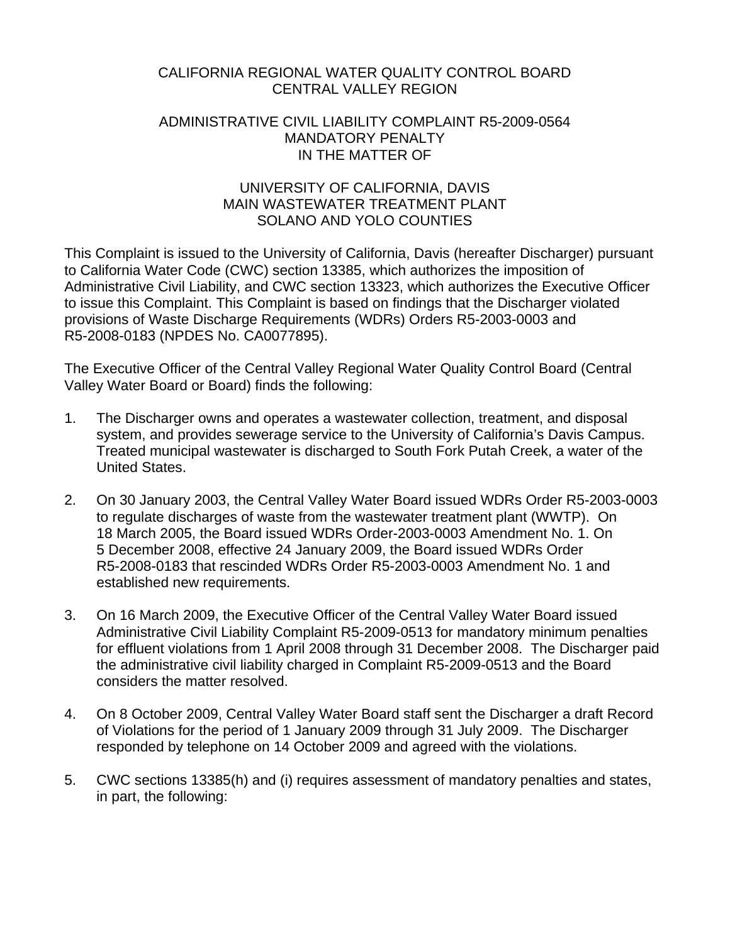# CALIFORNIA REGIONAL WATER QUALITY CONTROL BOARD CENTRAL VALLEY REGION

### ADMINISTRATIVE CIVIL LIABILITY COMPLAINT R5-2009-0564 MANDATORY PENALTY IN THE MATTER OF

# UNIVERSITY OF CALIFORNIA, DAVIS MAIN WASTEWATER TREATMENT PLANT SOLANO AND YOLO COUNTIES

This Complaint is issued to the University of California, Davis (hereafter Discharger) pursuant to California Water Code (CWC) section 13385, which authorizes the imposition of Administrative Civil Liability, and CWC section 13323, which authorizes the Executive Officer to issue this Complaint. This Complaint is based on findings that the Discharger violated provisions of Waste Discharge Requirements (WDRs) Orders R5-2003-0003 and R5-2008-0183 (NPDES No. CA0077895).

The Executive Officer of the Central Valley Regional Water Quality Control Board (Central Valley Water Board or Board) finds the following:

- 1. The Discharger owns and operates a wastewater collection, treatment, and disposal system, and provides sewerage service to the University of California's Davis Campus. Treated municipal wastewater is discharged to South Fork Putah Creek, a water of the United States.
- 2. On 30 January 2003, the Central Valley Water Board issued WDRs Order R5-2003-0003 to regulate discharges of waste from the wastewater treatment plant (WWTP). On 18 March 2005, the Board issued WDRs Order-2003-0003 Amendment No. 1. On 5 December 2008, effective 24 January 2009, the Board issued WDRs Order R5-2008-0183 that rescinded WDRs Order R5-2003-0003 Amendment No. 1 and established new requirements.
- 3. On 16 March 2009, the Executive Officer of the Central Valley Water Board issued Administrative Civil Liability Complaint R5-2009-0513 for mandatory minimum penalties for effluent violations from 1 April 2008 through 31 December 2008. The Discharger paid the administrative civil liability charged in Complaint R5-2009-0513 and the Board considers the matter resolved.
- 4. On 8 October 2009, Central Valley Water Board staff sent the Discharger a draft Record of Violations for the period of 1 January 2009 through 31 July 2009. The Discharger responded by telephone on 14 October 2009 and agreed with the violations.
- 5. CWC sections 13385(h) and (i) requires assessment of mandatory penalties and states, in part, the following: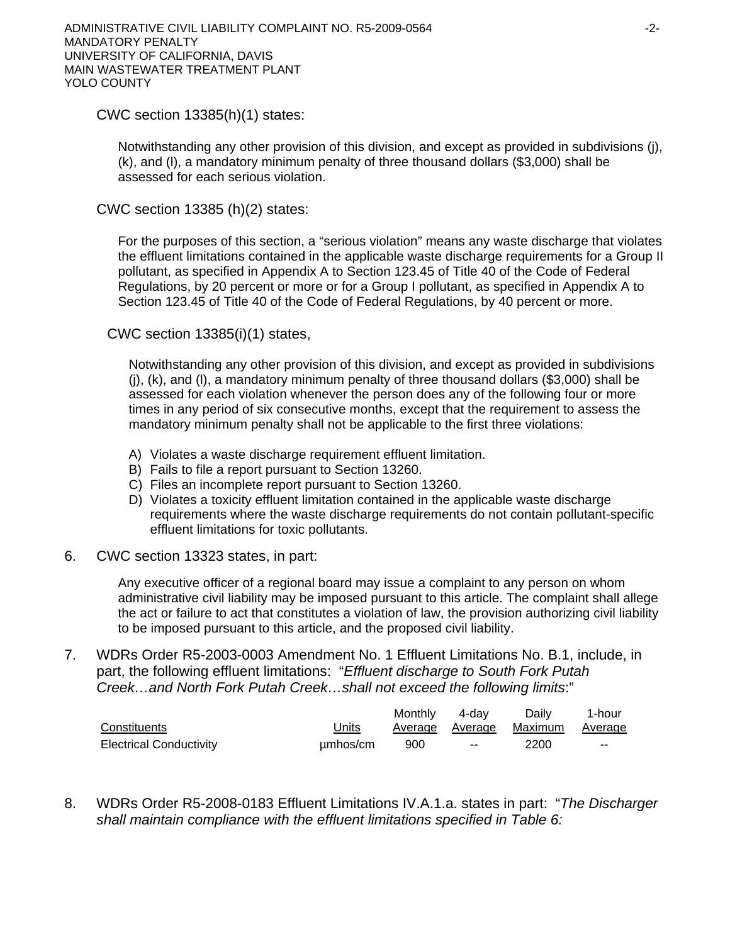CWC section 13385(h)(1) states:

Notwithstanding any other provision of this division, and except as provided in subdivisions (j), (k), and (l), a mandatory minimum penalty of three thousand dollars (\$3,000) shall be assessed for each serious violation.

CWC section 13385 (h)(2) states:

For the purposes of this section, a "serious violation" means any waste discharge that violates the effluent limitations contained in the applicable waste discharge requirements for a Group II pollutant, as specified in Appendix A to Section 123.45 of Title 40 of the Code of Federal Regulations, by 20 percent or more or for a Group I pollutant, as specified in Appendix A to Section 123.45 of Title 40 of the Code of Federal Regulations, by 40 percent or more.

CWC section 13385(i)(1) states,

Notwithstanding any other provision of this division, and except as provided in subdivisions (j), (k), and (l), a mandatory minimum penalty of three thousand dollars (\$3,000) shall be assessed for each violation whenever the person does any of the following four or more times in any period of six consecutive months, except that the requirement to assess the mandatory minimum penalty shall not be applicable to the first three violations:

- A) Violates a waste discharge requirement effluent limitation.
- B) Fails to file a report pursuant to Section 13260.
- C) Files an incomplete report pursuant to Section 13260.
- D) Violates a toxicity effluent limitation contained in the applicable waste discharge requirements where the waste discharge requirements do not contain pollutant-specific effluent limitations for toxic pollutants.
- 6. CWC section 13323 states, in part:

Any executive officer of a regional board may issue a complaint to any person on whom administrative civil liability may be imposed pursuant to this article. The complaint shall allege the act or failure to act that constitutes a violation of law, the provision authorizing civil liability to be imposed pursuant to this article, and the proposed civil liability.

7. WDRs Order R5-2003-0003 Amendment No. 1 Effluent Limitations No. B.1, include, in part, the following effluent limitations: "*Effluent discharge to South Fork Putah Creek…and North Fork Putah Creek…shall not exceed the following limits*:"

|                                |              | Monthly | 4-dav                    | Dailv                           | 1-hour |
|--------------------------------|--------------|---------|--------------------------|---------------------------------|--------|
| Constituents                   | <u>Units</u> |         |                          | Average Average Maximum Average |        |
| <b>Electrical Conductivity</b> | umhos/cm     | 900     | $\overline{\phantom{a}}$ | 2200                            | $\sim$ |

8. WDRs Order R5-2008-0183 Effluent Limitations IV.A.1.a. states in part: "*The Discharger shall maintain compliance with the effluent limitations specified in Table 6:*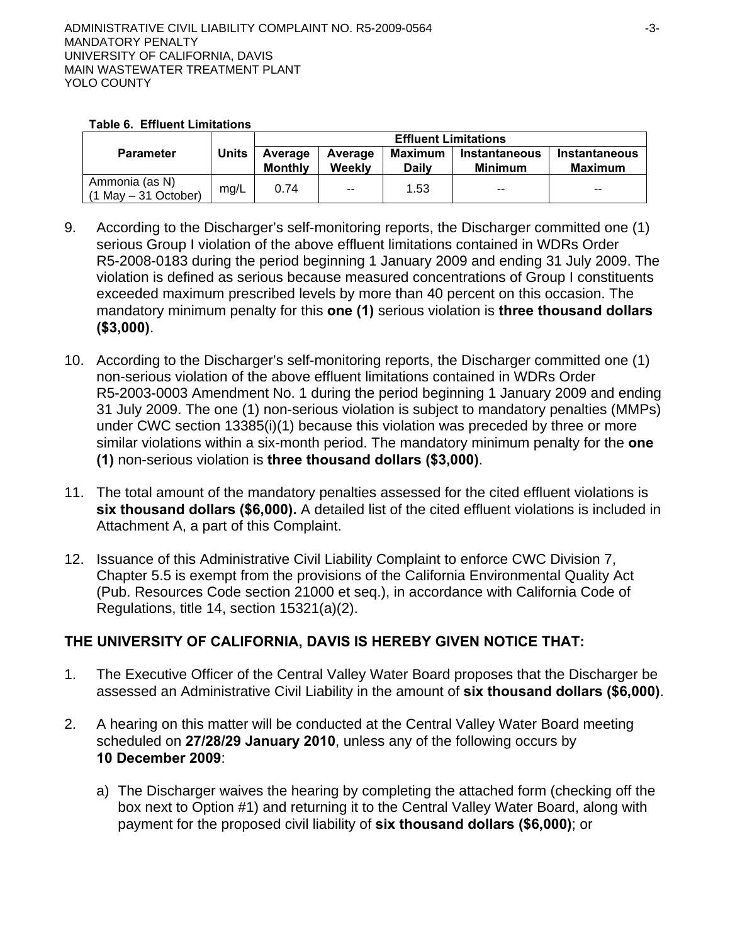| <b>Table 6. Effluent Limitations</b> |  |  |  |
|--------------------------------------|--|--|--|
|--------------------------------------|--|--|--|

|                                           |              | <b>Effluent Limitations</b> |                   |                  |                                 |                                        |
|-------------------------------------------|--------------|-----------------------------|-------------------|------------------|---------------------------------|----------------------------------------|
| <b>Parameter</b>                          | <b>Units</b> | Average<br>Monthly          | Average<br>Weekly | Maximum<br>Dailv | Instantaneous<br><b>Minimum</b> | <b>Instantaneous</b><br><b>Maximum</b> |
| Ammonia (as N)<br>$(1$ May $-31$ October) | mg/L         | 0.74                        | $\sim$            | 1.53             | --                              | $- -$                                  |

- 9. According to the Discharger's self-monitoring reports, the Discharger committed one (1) serious Group I violation of the above effluent limitations contained in WDRs Order R5-2008-0183 during the period beginning 1 January 2009 and ending 31 July 2009. The violation is defined as serious because measured concentrations of Group I constituents exceeded maximum prescribed levels by more than 40 percent on this occasion. The mandatory minimum penalty for this **one (1)** serious violation is **three thousand dollars (\$3,000)**.
- 10. According to the Discharger's self-monitoring reports, the Discharger committed one (1) non-serious violation of the above effluent limitations contained in WDRs Order R5-2003-0003 Amendment No. 1 during the period beginning 1 January 2009 and ending 31 July 2009. The one (1) non-serious violation is subject to mandatory penalties (MMPs) under CWC section 13385(i)(1) because this violation was preceded by three or more similar violations within a six-month period. The mandatory minimum penalty for the **one (1)** non-serious violation is **three thousand dollars (\$3,000)**.
- 11. The total amount of the mandatory penalties assessed for the cited effluent violations is **six thousand dollars (\$6,000).** A detailed list of the cited effluent violations is included in Attachment A, a part of this Complaint.
- 12. Issuance of this Administrative Civil Liability Complaint to enforce CWC Division 7, Chapter 5.5 is exempt from the provisions of the California Environmental Quality Act (Pub. Resources Code section 21000 et seq.), in accordance with California Code of Regulations, title 14, section 15321(a)(2).

# **THE UNIVERSITY OF CALIFORNIA, DAVIS IS HEREBY GIVEN NOTICE THAT:**

- 1. The Executive Officer of the Central Valley Water Board proposes that the Discharger be assessed an Administrative Civil Liability in the amount of **six thousand dollars (\$6,000)**.
- 2. A hearing on this matter will be conducted at the Central Valley Water Board meeting scheduled on **27/28/29 January 2010**, unless any of the following occurs by **10 December 2009**:
	- a) The Discharger waives the hearing by completing the attached form (checking off the box next to Option #1) and returning it to the Central Valley Water Board, along with payment for the proposed civil liability of **six thousand dollars (\$6,000)**; or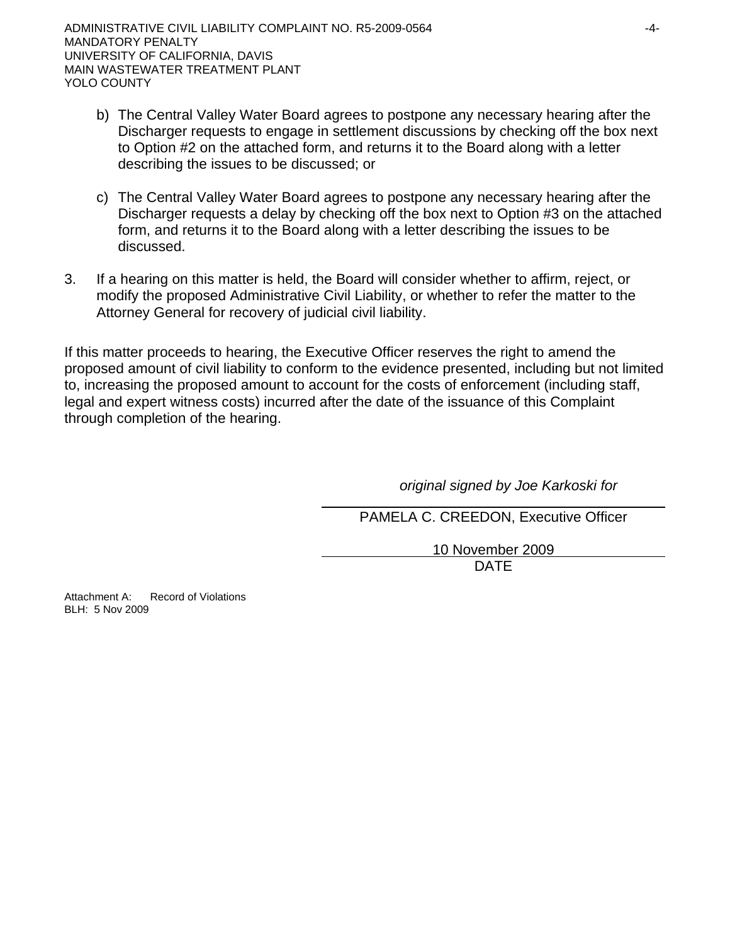- b) The Central Valley Water Board agrees to postpone any necessary hearing after the Discharger requests to engage in settlement discussions by checking off the box next to Option #2 on the attached form, and returns it to the Board along with a letter describing the issues to be discussed; or
- c) The Central Valley Water Board agrees to postpone any necessary hearing after the Discharger requests a delay by checking off the box next to Option #3 on the attached form, and returns it to the Board along with a letter describing the issues to be discussed.
- 3. If a hearing on this matter is held, the Board will consider whether to affirm, reject, or modify the proposed Administrative Civil Liability, or whether to refer the matter to the Attorney General for recovery of judicial civil liability.

If this matter proceeds to hearing, the Executive Officer reserves the right to amend the proposed amount of civil liability to conform to the evidence presented, including but not limited to, increasing the proposed amount to account for the costs of enforcement (including staff, legal and expert witness costs) incurred after the date of the issuance of this Complaint through completion of the hearing.

*original signed by Joe Karkoski for* 

PAMELA C. CREEDON, Executive Officer

10 November 2009

design and the contract of the contract of the DATE of the contract of the contract of the contract of the contract of the contract of the contract of the contract of the contract of the contract of the contract of the con

Attachment A: Record of Violations BLH: 5 Nov 2009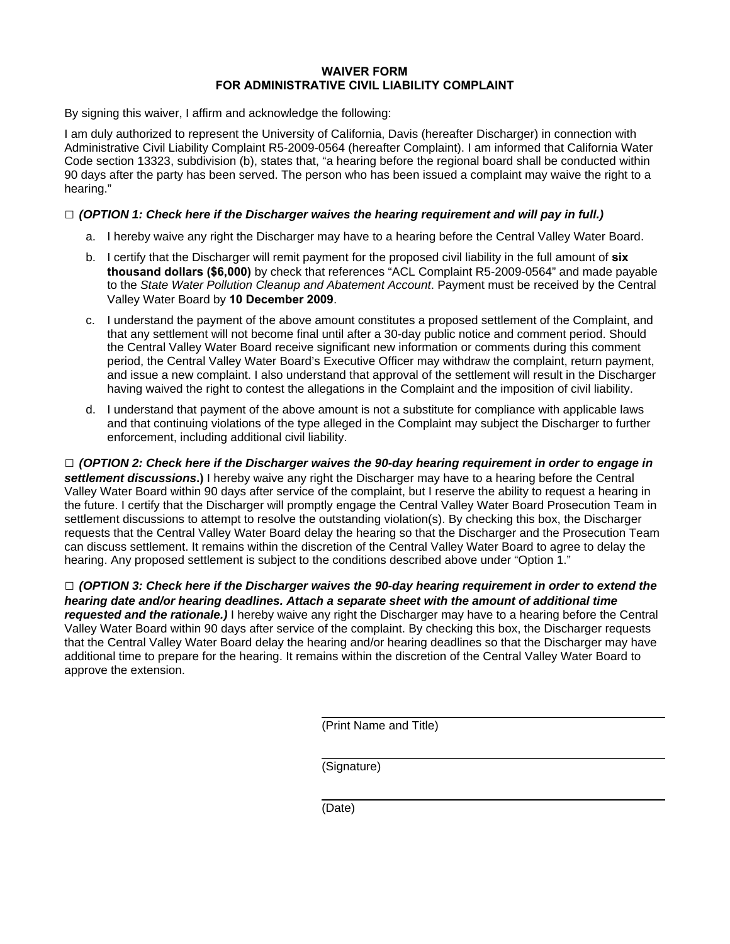#### **WAIVER FORM FOR ADMINISTRATIVE CIVIL LIABILITY COMPLAINT**

By signing this waiver, I affirm and acknowledge the following:

I am duly authorized to represent the University of California, Davis (hereafter Discharger) in connection with Administrative Civil Liability Complaint R5-2009-0564 (hereafter Complaint). I am informed that California Water Code section 13323, subdivision (b), states that, "a hearing before the regional board shall be conducted within 90 days after the party has been served. The person who has been issued a complaint may waive the right to a hearing."

### **□** *(OPTION 1: Check here if the Discharger waives the hearing requirement and will pay in full.)*

- a. I hereby waive any right the Discharger may have to a hearing before the Central Valley Water Board.
- b. I certify that the Discharger will remit payment for the proposed civil liability in the full amount of **six thousand dollars (\$6,000)** by check that references "ACL Complaint R5-2009-0564" and made payable to the *State Water Pollution Cleanup and Abatement Account*. Payment must be received by the Central Valley Water Board by **10 December 2009**.
- c. I understand the payment of the above amount constitutes a proposed settlement of the Complaint, and that any settlement will not become final until after a 30-day public notice and comment period. Should the Central Valley Water Board receive significant new information or comments during this comment period, the Central Valley Water Board's Executive Officer may withdraw the complaint, return payment, and issue a new complaint. I also understand that approval of the settlement will result in the Discharger having waived the right to contest the allegations in the Complaint and the imposition of civil liability.
- d. I understand that payment of the above amount is not a substitute for compliance with applicable laws and that continuing violations of the type alleged in the Complaint may subject the Discharger to further enforcement, including additional civil liability.

**□** *(OPTION 2: Check here if the Discharger waives the 90-day hearing requirement in order to engage in settlement discussions***.)** I hereby waive any right the Discharger may have to a hearing before the Central Valley Water Board within 90 days after service of the complaint, but I reserve the ability to request a hearing in the future. I certify that the Discharger will promptly engage the Central Valley Water Board Prosecution Team in settlement discussions to attempt to resolve the outstanding violation(s). By checking this box, the Discharger requests that the Central Valley Water Board delay the hearing so that the Discharger and the Prosecution Team can discuss settlement. It remains within the discretion of the Central Valley Water Board to agree to delay the hearing. Any proposed settlement is subject to the conditions described above under "Option 1."

**□** *(OPTION 3: Check here if the Discharger waives the 90-day hearing requirement in order to extend the hearing date and/or hearing deadlines. Attach a separate sheet with the amount of additional time requested and the rationale.)* I hereby waive any right the Discharger may have to a hearing before the Central Valley Water Board within 90 days after service of the complaint. By checking this box, the Discharger requests that the Central Valley Water Board delay the hearing and/or hearing deadlines so that the Discharger may have additional time to prepare for the hearing. It remains within the discretion of the Central Valley Water Board to approve the extension.

(Print Name and Title)

(Signature)

(Date)